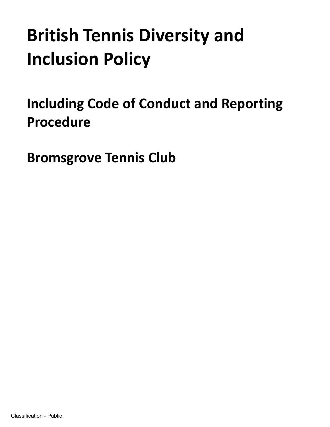# **British Tennis Diversity and Inclusion Policy**

**Including Code of Conduct and Reporting Procedure** 

**Bromsgrove Tennis Club**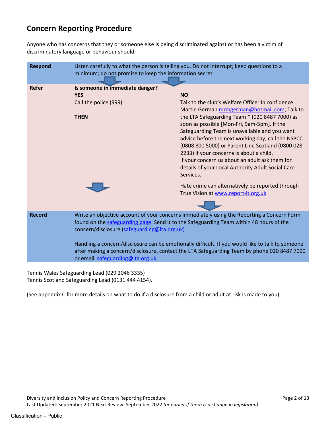# **Concern Reporting Procedure**

Anyone who has concerns that they or someone else is being discriminated against or has been a victim of discriminatory language or behaviour should:

| <b>Respond</b> | Listen carefully to what the person is telling you. Do not interrupt; keep questions to a<br>minimum; do not promise to keep the information secret                                   |                                                                                                         |
|----------------|---------------------------------------------------------------------------------------------------------------------------------------------------------------------------------------|---------------------------------------------------------------------------------------------------------|
| <b>Refer</b>   | Is someone in immediate danger?                                                                                                                                                       |                                                                                                         |
|                | <b>YES</b>                                                                                                                                                                            | <b>NO</b>                                                                                               |
|                | Call the police (999)                                                                                                                                                                 | Talk to the club's Welfare Officer in confidence                                                        |
|                |                                                                                                                                                                                       | Martin German mrmgerman@hotmail.com; Talk to                                                            |
|                | <b>THEN</b>                                                                                                                                                                           | the LTA Safeguarding Team * (020 8487 7000) as                                                          |
|                |                                                                                                                                                                                       | soon as possible [Mon-Fri, 9am-5pm]. If the                                                             |
|                |                                                                                                                                                                                       | Safeguarding Team is unavailable and you want                                                           |
|                |                                                                                                                                                                                       | advice before the next working day, call the NSPCC<br>(0808 800 5000) or Parent Line Scotland (0800 028 |
|                |                                                                                                                                                                                       | 2233) if your concerns is about a child.                                                                |
|                |                                                                                                                                                                                       | If your concern us about an adult ask them for                                                          |
|                |                                                                                                                                                                                       | details of your Local Authority Adult Social Care                                                       |
|                |                                                                                                                                                                                       | Services.                                                                                               |
|                |                                                                                                                                                                                       | Hate crime can alternatively be reported through                                                        |
|                |                                                                                                                                                                                       | True Vision at www.report-it.org.uk                                                                     |
|                |                                                                                                                                                                                       |                                                                                                         |
| <b>Record</b>  | Write an objective account of your concerns immediately using the Reporting a Concern Form<br>found on the safeguarding page. Send it to the Safeguarding Team within 48 hours of the |                                                                                                         |
|                |                                                                                                                                                                                       |                                                                                                         |
|                | concern/disclosure (safeguarding@Ita.org.uk)                                                                                                                                          |                                                                                                         |
|                | Handling a concern/disclosure can be emotionally difficult. If you would like to talk to someone                                                                                      |                                                                                                         |
|                | after making a concern/disclosure, contact the LTA Safeguarding Team by phone 020 8487 7000<br>or email safeguarding@Ita.org.uk                                                       |                                                                                                         |
|                |                                                                                                                                                                                       |                                                                                                         |
|                |                                                                                                                                                                                       |                                                                                                         |

Tennis Wales Safeguarding Lead (029 2046 3335) Tennis Scotland Safeguarding Lead (0131 444 4154).

(See appendix C for more details on what to do if a disclosure from a child or adult at risk is made to you)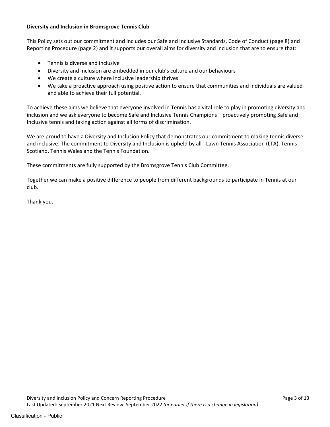### **Diversity and Inclusion in Bromsgrove Tennis Club**

This Policy sets out our commitment and includes our Safe and Inclusive Standards, Code of Conduct (page 8) and Reporting Procedure (page 2) and it supports our overall aims for diversity and inclusion that are to ensure that:

- Tennis is diverse and inclusive
- Diversity and inclusion are embedded in our club's culture and our behaviours
- We create a culture where inclusive leadership thrives
- We take a proactive approach using positive action to ensure that communities and individuals are valued and able to achieve their full potential.

To achieve these aims we believe that everyone involved in Tennis has a vital role to play in promoting diversity and inclusion and we ask everyone to become Safe and Inclusive Tennis Champions – proactively promoting Safe and Inclusive tennis and taking action against all forms of discrimination.

We are proud to have a Diversity and Inclusion Policy that demonstrates our commitment to making tennis diverse and inclusive. The commitment to Diversity and Inclusion is upheld by all - Lawn Tennis Association (LTA), Tennis Scotland, Tennis Wales and the Tennis Foundation.

These commitments are fully supported by the Bromsgrove Tennis Club Committee.

Together we can make a positive difference to people from different backgrounds to participate in Tennis at our club.

Thank you.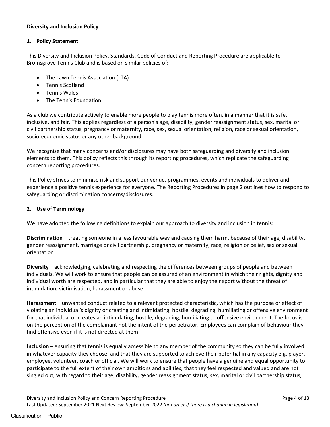### **Diversity and Inclusion Policy**

# **1. Policy Statement**

This Diversity and Inclusion Policy, Standards, Code of Conduct and Reporting Procedure are applicable to Bromsgrove Tennis Club and is based on similar policies of:

- The Lawn Tennis Association (LTA)
- Tennis Scotland
- Tennis Wales
- The Tennis Foundation.

As a club we contribute actively to enable more people to play tennis more often, in a manner that it is safe, inclusive, and fair. This applies regardless of a person's age, disability, gender reassignment status, sex, marital or civil partnership status, pregnancy or maternity, race, sex, sexual orientation, religion, race or sexual orientation, socio-economic status or any other background.

We recognise that many concerns and/or disclosures may have both safeguarding and diversity and inclusion elements to them. This policy reflects this through its reporting procedures, which replicate the safeguarding concern reporting procedures.

This Policy strives to minimise risk and support our venue, programmes, events and individuals to deliver and experience a positive tennis experience for everyone. The Reporting Procedures in page 2 outlines how to respond to safeguarding or discrimination concerns/disclosures.

# **2. Use of Terminology**

We have adopted the following definitions to explain our approach to diversity and inclusion in tennis:

**Discrimination** – treating someone in a less favourable way and causing them harm, because of their age, disability, gender reassignment, marriage or civil partnership, pregnancy or maternity, race, religion or belief, sex or sexual orientation

**Diversity** – acknowledging, celebrating and respecting the differences between groups of people and between individuals. We will work to ensure that people can be assured of an environment in which their rights, dignity and individual worth are respected, and in particular that they are able to enjoy their sport without the threat of intimidation, victimisation, harassment or abuse.

**Harassment** – unwanted conduct related to a relevant protected characteristic, which has the purpose or effect of violating an individual's dignity or creating and intimidating, hostile, degrading, humiliating or offensive environment for that individual or creates an intimidating, hostile, degrading, humiliating or offensive environment. The focus is on the perception of the complainant not the intent of the perpetrator. Employees can complain of behaviour they find offensive even if it is not directed at them.

**Inclusion** – ensuring that tennis is equally accessible to any member of the community so they can be fully involved in whatever capacity they choose; and that they are supported to achieve their potential in any capacity e.g. player, employee, volunteer, coach or official. We will work to ensure that people have a genuine and equal opportunity to participate to the full extent of their own ambitions and abilities, that they feel respected and valued and are not singled out, with regard to their age, disability, gender reassignment status, sex, marital or civil partnership status,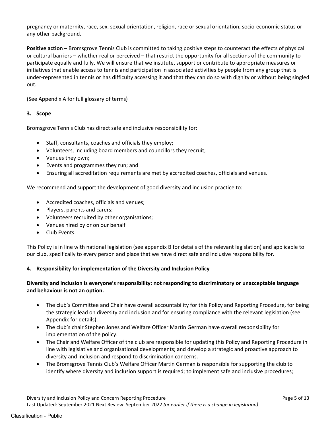pregnancy or maternity, race, sex, sexual orientation, religion, race or sexual orientation, socio-economic status or any other background.

**Positive action** – Bromsgrove Tennis Club is committed to taking positive steps to counteract the effects of physical or cultural barriers – whether real or perceived – that restrict the opportunity for all sections of the community to participate equally and fully. We will ensure that we institute, support or contribute to appropriate measures or initiatives that enable access to tennis and participation in associated activities by people from any group that is under-represented in tennis or has difficulty accessing it and that they can do so with dignity or without being singled out.

(See Appendix A for full glossary of terms)

#### **3. Scope**

Bromsgrove Tennis Club has direct safe and inclusive responsibility for:

- Staff, consultants, coaches and officials they employ;
- Volunteers, including board members and councillors they recruit;
- Venues they own;
- Events and programmes they run; and
- Ensuring all accreditation requirements are met by accredited coaches, officials and venues.

We recommend and support the development of good diversity and inclusion practice to:

- Accredited coaches, officials and venues;
- Players, parents and carers;
- Volunteers recruited by other organisations;
- Venues hired by or on our behalf
- Club Events.

This Policy is in line with national legislation (see appendix B for details of the relevant legislation) and applicable to our club, specifically to every person and place that we have direct safe and inclusive responsibility for.

#### **4. Responsibility for implementation of the Diversity and Inclusion Policy**

# **Diversity and inclusion is everyone's responsibility: not responding to discriminatory or unacceptable language and behaviour is not an option.**

- The club's Committee and Chair have overall accountability for this Policy and Reporting Procedure, for being the strategic lead on diversity and inclusion and for ensuring compliance with the relevant legislation (see Appendix for details).
- The club's chair Stephen Jones and Welfare Officer Martin German have overall responsibility for implementation of the policy.
- The Chair and Welfare Officer of the club are responsible for updating this Policy and Reporting Procedure in line with legislative and organisational developments; and develop a strategic and proactive approach to diversity and inclusion and respond to discrimination concerns.
- The Bromsgrove Tennis Club's Welfare Officer Martin German is responsible for supporting the club to identify where diversity and inclusion support is required; to implement safe and inclusive procedures;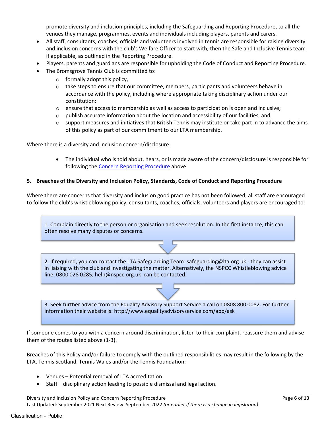promote diversity and inclusion principles, including the Safeguarding and Reporting Procedure, to all the venues they manage, programmes, events and individuals including players, parents and carers.

- All staff, consultants, coaches, officials and volunteers involved in tennis are responsible for raising diversity and inclusion concerns with the club's Welfare Officer to start with; then the Safe and Inclusive Tennis team if applicable, as outlined in the Reporting Procedure.
- Players, parents and guardians are responsible for upholding the Code of Conduct and Reporting Procedure.
- The Bromsgrove Tennis Club is committed to:
	- $\circ$  formally adopt this policy,
	- $\circ$  take steps to ensure that our committee, members, participants and volunteers behave in accordance with the policy, including where appropriate taking disciplinary action under our constitution;
	- $\circ$  ensure that access to membership as well as access to participation is open and inclusive;
	- $\circ$  publish accurate information about the location and accessibility of our facilities; and
	- $\circ$  support measures and initiatives that British Tennis may institute or take part in to advance the aims of this policy as part of our commitment to our LTA membership.

Where there is a diversity and inclusion concern/disclosure:

 The individual who is told about, hears, or is made aware of the concern/disclosure is responsible for following the Concern Reporting Procedure above

#### **5. Breaches of the Diversity and Inclusion Policy, Standards, Code of Conduct and Reporting Procedure**

Where there are concerns that diversity and inclusion good practice has not been followed, all staff are encouraged to follow the club's whistleblowing policy; consultants, coaches, officials, volunteers and players are encouraged to:

1. Complain directly to the person or organisation and seek resolution. In the first instance, this can often resolve many disputes or concerns.

2. If required, you can contact the LTA Safeguarding Team: safeguarding@lta.org.uk - they can assist in liaising with the club and investigating the matter. Alternatively, the NSPCC Whistleblowing advice line: 0800 028 0285; help@nspcc.org.uk can be contacted.

3. Seek further advice from the Equality Advisory Support Service a call on 0808 800 0082. For further information their website is: http://www.equalityadvisoryservice.com/app/ask

If someone comes to you with a concern around discrimination, listen to their complaint, reassure them and advise them of the routes listed above (1-3).

Breaches of this Policy and/or failure to comply with the outlined responsibilities may result in the following by the LTA, Tennis Scotland, Tennis Wales and/or the Tennis Foundation:

- Venues Potential removal of LTA accreditation
- Staff disciplinary action leading to possible dismissal and legal action.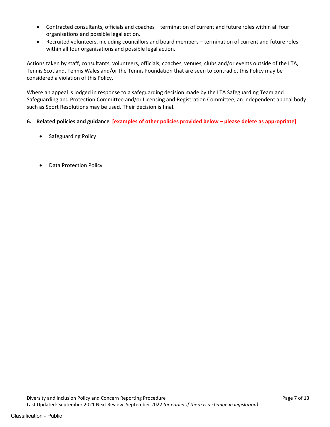- Contracted consultants, officials and coaches termination of current and future roles within all four organisations and possible legal action.
- Recruited volunteers, including councillors and board members termination of current and future roles within all four organisations and possible legal action.

Actions taken by staff, consultants, volunteers, officials, coaches, venues, clubs and/or events outside of the LTA, Tennis Scotland, Tennis Wales and/or the Tennis Foundation that are seen to contradict this Policy may be considered a violation of this Policy.

Where an appeal is lodged in response to a safeguarding decision made by the LTA Safeguarding Team and Safeguarding and Protection Committee and/or Licensing and Registration Committee, an independent appeal body such as Sport Resolutions may be used. Their decision is final.

- **6. Related policies and guidance [examples of other policies provided below please delete as appropriate]**
	- Safeguarding Policy
	- Data Protection Policy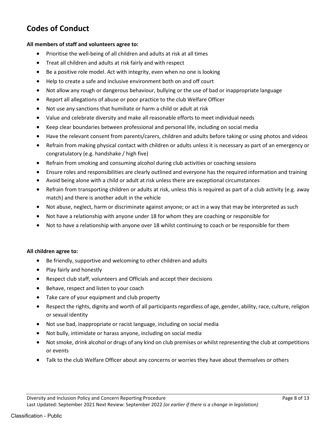# **Codes of Conduct**

#### **All members of staff and volunteers agree to:**

- Prioritise the well-being of all children and adults at risk at all times
- Treat all children and adults at risk fairly and with respect
- Be a positive role model. Act with integrity, even when no one is looking
- Help to create a safe and inclusive environment both on and off court
- Not allow any rough or dangerous behaviour, bullying or the use of bad or inappropriate language
- Report all allegations of abuse or poor practice to the club Welfare Officer
- Not use any sanctions that humiliate or harm a child or adult at risk
- Value and celebrate diversity and make all reasonable efforts to meet individual needs
- Keep clear boundaries between professional and personal life, including on social media
- Have the relevant consent from parents/carers, children and adults before taking or using photos and videos
- Refrain from making physical contact with children or adults unless it is necessary as part of an emergency or congratulatory (e.g. handshake / high five)
- Refrain from smoking and consuming alcohol during club activities or coaching sessions
- Ensure roles and responsibilities are clearly outlined and everyone has the required information and training
- Avoid being alone with a child or adult at risk unless there are exceptional circumstances
- Refrain from transporting children or adults at risk, unless this is required as part of a club activity (e.g. away match) and there is another adult in the vehicle
- Not abuse, neglect, harm or discriminate against anyone; or act in a way that may be interpreted as such
- Not have a relationship with anyone under 18 for whom they are coaching or responsible for
- Not to have a relationship with anyone over 18 whilst continuing to coach or be responsible for them

#### **All children agree to:**

- Be friendly, supportive and welcoming to other children and adults
- Play fairly and honestly
- Respect club staff, volunteers and Officials and accept their decisions
- Behave, respect and listen to your coach
- Take care of your equipment and club property
- Respect the rights, dignity and worth of all participants regardless of age, gender, ability, race, culture, religion or sexual identity
- Not use bad, inappropriate or racist language, including on social media
- Not bully, intimidate or harass anyone, including on social media
- Not smoke, drink alcohol or drugs of any kind on club premises or whilst representing the club at competitions or events
- Talk to the club Welfare Officer about any concerns or worries they have about themselves or others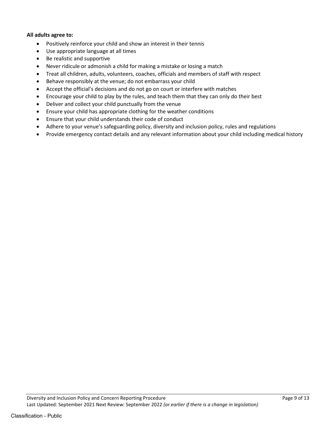#### **All adults agree to:**

- Positively reinforce your child and show an interest in their tennis
- Use appropriate language at all times
- Be realistic and supportive
- Never ridicule or admonish a child for making a mistake or losing a match
- Treat all children, adults, volunteers, coaches, officials and members of staff with respect
- Behave responsibly at the venue; do not embarrass your child
- Accept the official's decisions and do not go on court or interfere with matches
- Encourage your child to play by the rules, and teach them that they can only do their best
- Deliver and collect your child punctually from the venue
- Ensure your child has appropriate clothing for the weather conditions
- Ensure that your child understands their code of conduct
- Adhere to your venue's safeguarding policy, diversity and inclusion policy, rules and regulations
- Provide emergency contact details and any relevant information about your child including medical history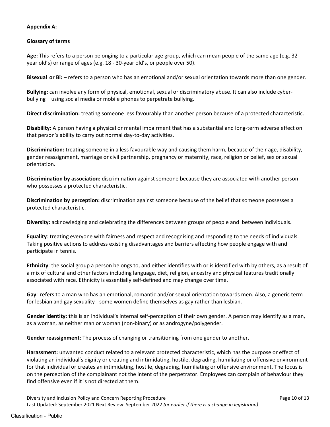# **Appendix A:**

# **Glossary of terms**

**Age:** This refers to a person belonging to a particular age group, which can mean people of the same age (e.g. 32 year old's) or range of ages (e.g. 18 - 30-year old's, or people over 50).

**Bisexual or Bi:**  $-$  refers to a person who has an emotional and/or sexual orientation towards more than one gender.

**Bullying:** can involve any form of physical, emotional, sexual or discriminatory abuse. It can also include cyberbullying – using social media or mobile phones to perpetrate bullying.

**Direct discrimination:** treating someone less favourably than another person because of a protected characteristic.

**Disability:** A person having a physical or mental impairment that has a substantial and long-term adverse effect on that person's ability to carry out normal day-to-day activities.

**Discrimination:** treating someone in a less favourable way and causing them harm, because of their age, disability, gender reassignment, marriage or civil partnership, pregnancy or maternity, race, religion or belief, sex or sexual orientation.

**Discrimination by association:** discrimination against someone because they are associated with another person who possesses a protected characteristic.

**Discrimination by perception:** discrimination against someone because of the belief that someone possesses a protected characteristic.

**Diversity:** acknowledging and celebrating the differences between groups of people and between individuals**.** 

**Equality**: treating everyone with fairness and respect and recognising and responding to the needs of individuals. Taking positive actions to address existing disadvantages and barriers affecting how people engage with and participate in tennis.

**Ethnicity**: the social group a person belongs to, and either identifies with or is identified with by others, as a result of a mix of cultural and other factors including language, diet, religion, ancestry and physical features traditionally associated with race. Ethnicity is essentially self-defined and may change over time.

**Gay**: refers to a man who has an emotional, romantic and/or sexual orientation towards men. Also, a generic term for lesbian and gay sexuality - some women define themselves as gay rather than lesbian.

**Gender identity: t**his is an individual's internal self-perception of their own gender. A person may identify as a man, as a woman, as neither man or woman (non-binary) or as androgyne/polygender.

**Gender reassignment**: The process of changing or transitioning from one gender to another.

**Harassment:** unwanted conduct related to a relevant protected characteristic, which has the purpose or effect of violating an individual's dignity or creating and intimidating, hostile, degrading, humiliating or offensive environment for that individual or creates an intimidating, hostile, degrading, humiliating or offensive environment. The focus is on the perception of the complainant not the intent of the perpetrator. Employees can complain of behaviour they find offensive even if it is not directed at them.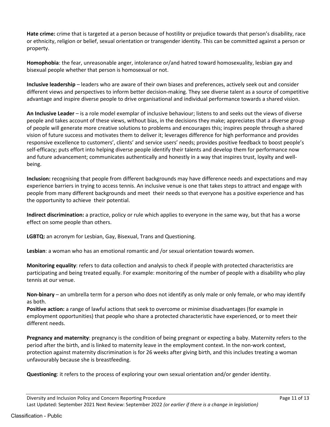**Hate crime:** crime that is targeted at a person because of hostility or prejudice towards that person's disability, race or ethnicity, religion or belief, sexual orientation or transgender identity. This can be committed against a person or property.

**Homophobia**: the fear, unreasonable anger, intolerance or/and hatred toward homosexuality, lesbian gay and bisexual people whether that person is homosexual or not.

**Inclusive leadership** – leaders who are aware of their own biases and preferences, actively seek out and consider different views and perspectives to inform better decision-making. They see diverse talent as a source of competitive advantage and inspire diverse people to drive organisational and individual performance towards a shared vision.

**An Inclusive Leader** – is a role model exemplar of inclusive behaviour; listens to and seeks out the views of diverse people and takes account of these views, without bias, in the decisions they make; appreciates that a diverse group of people will generate more creative solutions to problems and encourages this; inspires people through a shared vision of future success and motivates them to deliver it; leverages difference for high performance and provides responsive excellence to customers', clients' and service users' needs; provides positive feedback to boost people's self-efficacy; puts effort into helping diverse people identify their talents and develop them for performance now and future advancement; communicates authentically and honestly in a way that inspires trust, loyalty and wellbeing.

**Inclusion:** recognising that people from different backgrounds may have difference needs and expectations and may experience barriers in trying to access tennis. An inclusive venue is one that takes steps to attract and engage with people from many different backgrounds and meet their needs so that everyone has a positive experience and has the opportunity to achieve their potential.

**Indirect discrimination:** a practice, policy or rule which applies to everyone in the same way, but that has a worse effect on some people than others.

**LGBTQ:** an acronym for Lesbian, Gay, Bisexual, Trans and Questioning.

**Lesbian**: a woman who has an emotional romantic and /or sexual orientation towards women.

**Monitoring equality**: refers to data collection and analysis to check if people with protected characteristics are participating and being treated equally. For example: monitoring of the number of people with a disability who play tennis at our venue.

**Non-binary** – an umbrella term for a person who does not identify as only male or only female, or who may identify as both.

**Positive action:** a range of lawful actions that seek to overcome or minimise disadvantages (for example in employment opportunities) that people who share a protected characteristic have experienced, or to meet their different needs.

**Pregnancy and maternity**: pregnancy is the condition of being pregnant or expecting a baby. Maternity refers to the period after the birth, and is linked to maternity leave in the employment context. In the non-work context, protection against maternity discrimination is for 26 weeks after giving birth, and this includes treating a woman unfavourably because she is breastfeeding.

**Questioning**: it refers to the process of exploring your own sexual orientation and/or gender identity.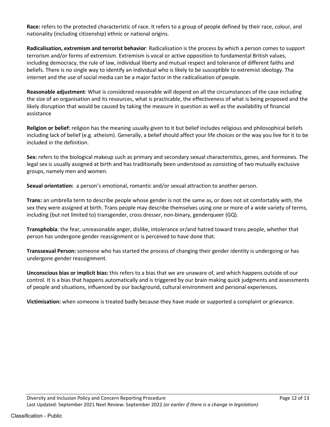**Race:** refers to the protected characteristic of race. It refers to a group of people defined by their race, colour, and nationality (including citizenship) ethnic or national origins.

**Radicalisation, extremism and terrorist behavior**: Radicalisation is the process by which a person comes to support terrorism and/or forms of extremism. Extremism is vocal or active opposition to fundamental British values, including democracy, the rule of law, individual liberty and mutual respect and tolerance of different faiths and beliefs. There is no single way to identify an individual who is likely to be susceptible to extremist ideology. The internet and the use of social media can be a major factor in the radicalisation of people.

**Reasonable adjustment**: What is considered reasonable will depend on all the circumstances of the case including the size of an organisation and its resources, what is practicable, the effectiveness of what is being proposed and the likely disruption that would be caused by taking the measure in question as well as the availability of financial assistance

**Religion or belief:** religion has the meaning usually given to it but belief includes religious and philosophical beliefs including lack of belief (e.g. atheism). Generally, a belief should affect your life choices or the way you live for it to be included in the definition.

**Sex:** refers to the biological makeup such as primary and secondary sexual characteristics, genes, and hormones. The legal sex is usually assigned at birth and has traditionally been understood as consisting of two mutually exclusive groups, namely men and women.

**Sexual orientation:** a person's emotional, romantic and/or sexual attraction to another person.

**Trans:** an umbrella term to describe people whose gender is not the same as, or does not sit comfortably with, the sex they were assigned at birth. Trans people may describe themselves using one or more of a wide variety of terms, including (but not limited to) transgender, cross dresser, non-binary, genderqueer (GQ).

**Transphobia**: the fear, unreasonable anger, dislike, intolerance or/and hatred toward trans people, whether that person has undergone gender reassignment or is perceived to have done that.

**Transsexual Person:** someone who has started the process of changing their gender identity is undergoing or has undergone gender reassignment.

**Unconscious bias or implicit bias:** this refers to a bias that we are unaware of, and which happens outside of our control. It is a bias that happens automatically and is triggered by our brain making quick judgments and assessments of people and situations, influenced by our background, cultural environment and personal experiences.

**Victimisation:** when someone is treated badly because they have made or supported a complaint or grievance.